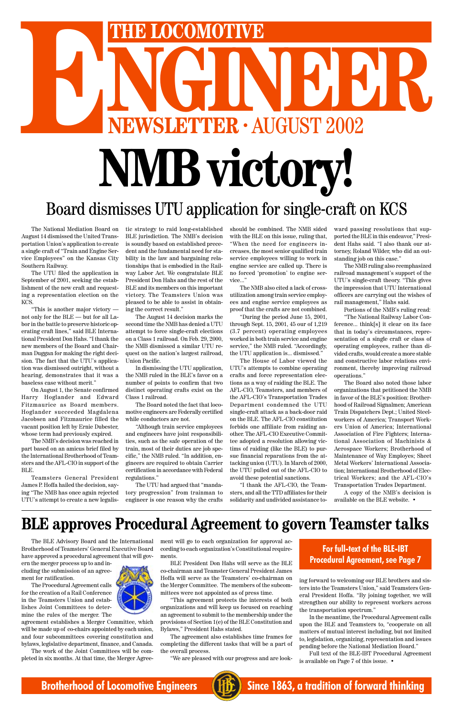Brotherhood of Teamsters' General Executive Board have approved a procedural agreement that will govern the merger process up to and including the submission of an agreement for ratification.

The Procedural Agreement calls for the creation of a Rail Conference in the Teamsters Union and establishes Joint Committees to determine the rules of the merger. The



The BLE Advisory Board and the International ment will go to each organization for approval according to each organization's Constitutional requirements.

agreement establishes a Merger Committee, which will be made up of co-chairs appointed by each union, and four subcommittees covering constitution and bylaws, legislative department, finance, and Canada.

The work of the Joint Committees will be completed in six months. At that time, the Merger Agree-

BLE President Don Hahs will serve as the BLE co-chairman and Teamster General President James Hoffa will serve as the Teamsters' co-chairman on the Merger Committee. The members of the subcommittees were not appointed as of press time.

# HE LOCOMOTIVE<br>
NGC 1000 NOTIVE<br>
2002<br>
2002 **ENERGY COMOTIVE**<br> **ENEWSLETTER · AUGUST 2002 NMB victory!** Board dismisses UTU application for single-craft on KCS

"This agreement protects the interests of both organizations and will keep us focused on reaching an agreement to submit to the membership under the provisions of Section 1(e) of the BLE Constitution and Bylaws," President Hahs stated.

The agreement also establishes time frames for completing the different tasks that will be a part of the overall process.

"We are pleased with our progress and are look-

ing forward to welcoming our BLE brothers and sisters into the Teamsters Union," said Teamsters General President Hoffa. "By joining together, we will strengthen our ability to represent workers across the transportation spectrum."

In the meantime, the Procedural Agreement calls upon the BLE and Teamsters to, "cooperate on all matters of mutual interest including, but not limited to, legislation, organizing, representation and issues pending before the National Mediation Board."

Full text of the BLE-IBT Procedural Agreement is available on Page 7 of this issue. •



**Brotherhood of Locomotive Engineers (HE)** Since 1863, a tradition of forward thinking

The National Mediation Board on August 14 dismissed the United Transportation Union's application to create a single craft of "Train and Engine Service Employees" on the Kansas City Southern Railway.

The UTU filed the application in September of 2001, seeking the establishment of the new craft and requesting a representation election on the KCS.

"This is another major victory not only for the BLE — but for all Labor in the battle to preserve historic operating craft lines," said BLE International President Don Hahs. "I thank the new members of the Board and Chairman Duggan for making the right decision. The fact that the UTU's application was dismissed outright, without a hearing, demonstrates that it was a baseless case without merit."

On August 1, the Senate confirmed Harry Hoglander and Edward Fitzmaurice as Board members. Hoglander succeeded Magdalena Jacobsen and Fitzmaurice filled the vacant position left by Ernie Dubester, whose term had previously expired.

The NMB's decision was reached in part based on an amicus brief filed by the International Brotherhood of Teamsters and the AFL-CIO in support of the BLE.

Teamsters General President James P. Hoffa hailed the decision, saying "The NMB has once again rejected UTU's attempt to create a new legalistic strategy to raid long-established BLE jurisdiction. The NMB's decision is soundly based on established precedent and the fundamental need for stability in the law and bargaining relationships that is embodied in the Railway Labor Act. We congratulate BLE President Don Hahs and the rest of the BLE and its members on this important victory. The Teamsters Union was pleased to be able to assist in obtaining the correct result."

The August 14 decision marks the second time the NMB has denied a UTU attempt to force single-craft elections on a Class 1 railroad. On Feb. 29, 2000, the NMB dismissed a similar UTU request on the nation's largest railroad, Union Pacific.

In dismissing the UTU application, the NMB ruled in the BLE's favor on a number of points to confirm that two distinct operating crafts exist on the Class 1 railroad.

The Board noted the fact that locomotive engineers are Federally certified while conductors are not.

"Although train service employees and engineers have joint responsibilities, such as the safe operation of the train, most of their duties are job specific," the NMB ruled. "In addition, engineers are required to obtain Carrier certification in accordance with Federal regulations."

The UTU had argued that "mandatory progression" from trainman to engineer is one reason why the crafts should be combined. The NMB sided with the BLE on this issue, ruling that, "When the need for engineers increases, the most senior qualified train service employees willing to work in engine service are called up. There is no forced 'promotion' to engine service..."

The NMB also cited a lack of crossutilization among train service employees and engine service employees as proof that the crafts are not combined.

"During the period June 15, 2001, through Sept. 15, 2001, 45 our of 1,219 (3.7 percent) operating employees worked in both train service and engine service," the NMB ruled. "Accordingly, the UTU application is... dismissed."

The House of Labor viewed the UTU's attempts to combine operating crafts and force representation elections as a way of raiding the BLE. The AFL-CIO, Teamsters, and members of the AFL-CIO's Transportation Trades Department condemned the UTU single-craft attack as a back-door raid on the BLE. The AFL-CIO constitution forbids one affiliate from raiding another. The AFL-CIO Executive Committee adopted a resolution allowing victims of raiding (like the BLE) to pursue financial reparations from the attacking union (UTU). In March of 2000, the UTU pulled out of the AFL-CIO to avoid these potential sanctions.

"I thank the AFL-CIO, the Teamsters, and all the TTD affiliates for their solidarity and undivided assistance toward passing resolutions that supported the BLE in this endeavor," President Hahs said. "I also thank our attorney, Roland Wilder, who did an outstanding job on this case."

The NMB ruling also reemphasized railroad management's support of the UTU's single-craft theory. "This gives the impression that UTU International officers are carrying out the wishes of rail management," Hahs said.

Portions of the NMB's ruling read:

"The National Railway Labor Conference... think[s] it clear on its face that in today's circumstances, representation of a single craft or class of operating employees, rather than divided crafts, would create a more stable and constructive labor relations environment, thereby improving railroad operations."

The Board also noted those labor organizations that petitioned the NMB in favor of the BLE's position: Brotherhood of Railroad Signalmen; American Train Dispatchers Dept.; United Steelworkers of America; Transport Workers Union of America; International Association of Fire Fighters; International Association of Machinists & Aerospace Workers; Brotherhood of Maintenance of Way Employes; Sheet Metal Workers' International Association; International Brotherhood of Electrical Workers; and the AFL-CIO's Transportation Trades Department.

A copy of the NMB's decision is available on the BLE website. •

#### **For full-text of the BLE-IBT Procedural Agreement, see Page 7**

#### **BLE approves Procedural Agreement to govern Teamster talks**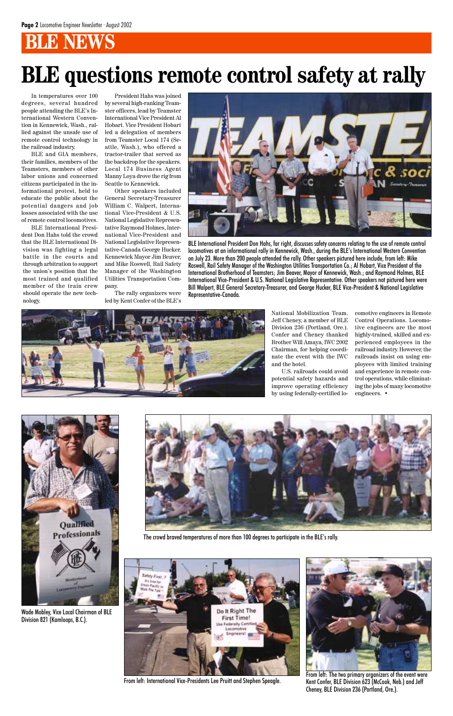In temperatures over 100 degrees, several hundred people attending the BLE's International Western Convention in Kennewick, Wash., rallied against the unsafe use of remote control technology in the railroad industry.

BLE and GIA members, their families, members of the Teamsters, members of other labor unions and concerned citizens participated in the informational protest, held to educate the public about the potential dangers and job losses associated with the use of remote control locomotives.

BLE International President Don Hahs told the crowd that the BLE International Division was fighting a legal battle in the courts and through arbitration to support the union's position that the most trained and qualified member of the train crew should operate the new technology.

President Hahs was joined by several high-ranking Teamster officers, lead by Teamster International Vice President Al Hobart. Vice President Hobart led a delegation of members from Teamster Local 174 (Seattle, Wash.), who offered a tractor-trailer that served as the backdrop for the speakers. Local 174 Business Agent Manny Loya drove the rig from Seattle to Kennewick.

Other speakers included General Secretary-Treasurer William C. Walpert, International Vice-President & U.S. National Legislative Representative Raymond Holmes, International Vice-President and National Legislative Representative-Canada George Hucker, Kennewick Mayor Jim Beaver, and Mike Roswell, Rail Safety Manager of the Washington Utilities Transportation Company.

The rally organizers were led by Kent Confer of the BLE's

# **BLE questions remote control safety at rally**



BLE International President Don Hahs, far right, discusses safety concerns relating to the use of remote control locomotives at an informational rally in Kennewick, Wash., during the BLE's International Western Convention on July 23. More than 200 people attended the rally. Other speakers pictured here include, from left: Mike Roswell, Rail Safety Manager of the Washington Utilities Transportation Co.; Al Hobart, Vice President of the International Brotherhood of Teamsters; Jim Beaver, Mayor of Kennewick, Wash.; and Raymond Holmes, BLE International Vice-President & U.S. National Legislative Representative. Other speakers not pictured here were Bill Walpert, BLE General Secretary-Treasurer, and George Hucker, BLE Vice-President & National Legislative Representative-Canada.



National Mobilization Team. Jeff Cheney, a member of BLE Division 236 (Portland, Ore.). Confer and Cheney thanked Brother Will Amaya, IWC 2002 Chairman, for helping coordinate the event with the IWC and the hotel.

U.S. railroads could avoid potential safety hazards and improve operating efficiency by using federally-certified locomotive engineers in Remote Control Operations. Locomotive engineers are the most highly-trained, skilled and experienced employees in the railroad industry. However, the railroads insist on using employees with limited training and experience in remote control operations, while eliminating the jobs of many locomotive engineers. •







From left: International Vice-Presidents Lee Pruitt and Stephen Speagle.

Wade Mobley, Vice Local Chairman of BLE Division 821 (Kamloops, B.C.).



From left: The two primary organizers of the event were Kent Confer, BLE Division 623 (McCook, Neb.) and Jeff Cheney, BLE Division 236 (Portland, Ore.).

The crowd braved temperatures of more than 100 degrees to participate in the BLE's rally.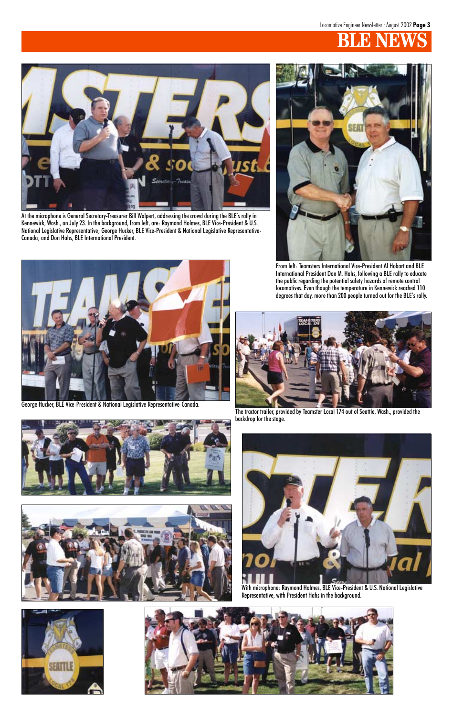

At the microphone is General Secretary-Treasurer Bill Walpert, addressing the crowd during the BLE's rally in Kennewick, Wash., on July 23. In the background, from left, are: Raymond Holmes, BLE Vice-President & U.S. National Legislative Representative; George Hucker, BLE Vice-President & National Legislative Representative-Canada; and Don Hahs, BLE International President.



From left: Teamsters International Vice-President Al Hobart and BLE International President Don M. Hahs, following a BLE rally to educate the public regarding the potential safety hazards of remote control locomotives. Even though the temperature in Kennewick reached 110 degrees that day, more than 200 people turned out for the BLE's rally.



The tractor trailer, provided by Teamster Local 174 out of Seattle, Wash., provided the backdrop for the stage.



George Hucker, BLE Vice-President & National Legislative Representative-Canada.







With microphone: Raymond Holmes, BLE Vice-President & U.S. National Legislative Representative, with President Hahs in the background.



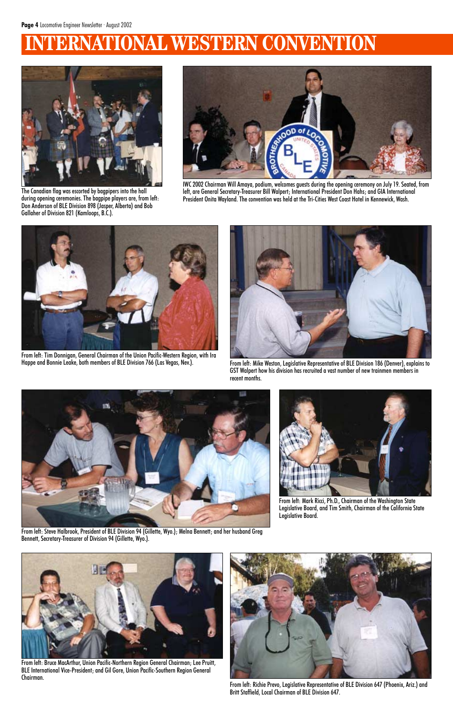## **ERNATIONAL WESTERN CONVENTION**



IWC 2002 Chairman Will Amaya, podium, welcomes guests during the opening ceremony on July 19. Seated, from left, are General Secretary-Treasurer Bill Walpert; International President Don Hahs; and GIA International President Onita Wayland. The convention was held at the Tri-Cities West Coast Hotel in Kennewick, Wash.



From left: Mike Weston, Legislative Representative of BLE Division 186 (Denver), explains to GST Walpert how his division has recruited a vast number of new trainmen members in recent months.





The Canadian flag was escorted by bagpipers into the hall during opening ceremonies. The bagpipe players are, from left: Don Anderson of BLE Division 898 (Jasper, Alberta) and Bob Gallaher of Division 821 (Kamloops, B.C.).



From left: Tim Donnigan, General Chairman of the Union Pacific-Western Region, with Ira

From left: Steve Halbrook, President of BLE Division 94 (Gillette, Wyo.); Melna Bennett; and her husband Greg Bennett, Secretary-Treasurer of Division 94 (Gillette, Wyo.).



From left: Mark Ricci, Ph.D., Chairman of the Washington State Legislative Board, and Tim Smith, Chairman of the California State Legislative Board.



From left: Richie Prevo, Legislative Representative of BLE Division 647 (Phoenix, Ariz.) and Britt Staffield, Local Chairman of BLE Division 647.



From left: Bruce MacArthur, Union Pacific-Northern Region General Chairman; Lee Pruitt, BLE International Vice-President; and Gil Gore, Union Pacific-Southern Region General Chairman.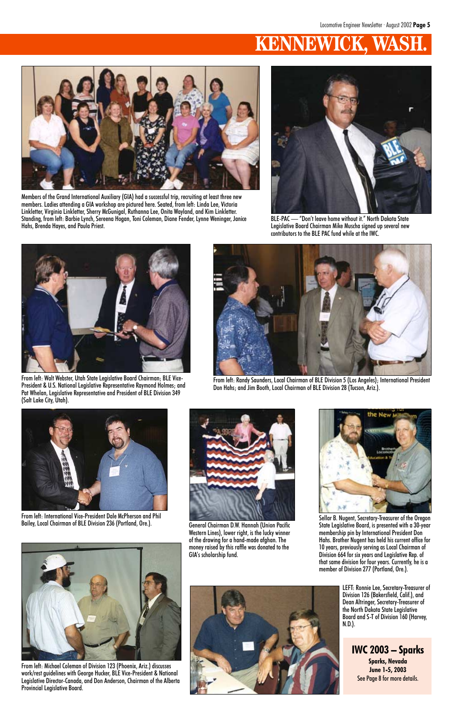## **KENNEWIC**



BLE-PAC — "Don't leave home without it." North Dakota State Legislative Board Chairman Mike Muscha signed up several new contributors to the BLE PAC fund while at the IWC.



Members of the Grand International Auxiliary (GIA) had a successful trip, recruiting at least three new members. Ladies attending a GIA workshop are pictured here. Seated, from left: Linda Lee, Victoria Linkletter, Virginia Linkletter, Sherry McGunigal, Ruthanna Lee, Onita Wayland, and Kim Linkletter. Standing, from left: Barbie Lynch, Sereena Hogan, Toni Coleman, Diane Fender, Lynne Weninger, Janice Hahs, Brenda Hayes, and Paula Priest.



From left: International Vice-President Dale McPherson and Phil Bailey, Local Chairman of BLE Division 236 (Portland, Ore.). General Chairman D.W. Hannah (Union Pacific





From left: Walt Webster, Utah State Legislative Board Chairman; BLE Vice-President & U.S. National Legislative Representative Raymond Holmes; and Pat Whelan, Legislative Representative and President of BLE Division 349 (Salt Lake City, Utah).



From left: Randy Saunders, Local Chairman of BLE Division 5 (Los Angeles); International President Don Hahs; and Jim Booth, Local Chairman of BLE Division 28 (Tucson, Ariz.).

Western Lines), lower right, is the lucky winner of the drawing for a hand-made afghan. The money raised by this raffle was donated to the GIA's scholarship fund.





Sellar B. Nugent, Secretary-Treasurer of the Oregon State Legislative Board, is presented with a 30-year

membership pin by International President Don Hahs. Brother Nugent has held his current office for 10 years, previously serving as Local Chairman of Division 664 for six years and Legislative Rep. of that same division for four years. Currently, he is a member of Division 277 (Portland, Ore.).



From left: Michael Coleman of Division 123 (Phoenix, Ariz.) discusses work/rest guidelines with George Hucker, BLE Vice-President & National Legislative Director-Canada, and Don Anderson, Chairman of the Alberta Provincial Legislative Board.

LEFT: Ronnie Lee, Secretary-Treasurer of Division 126 (Bakersfield, Calif.), and Dean Altringer, Secretary-Treasurer of the North Dakota State Legislative Board and S-T of Division 160 (Harvey, N.D.).

**IWC 2003 – Sparks Sparks, Nevada June 1-5, 2003** See Page 8 for more details.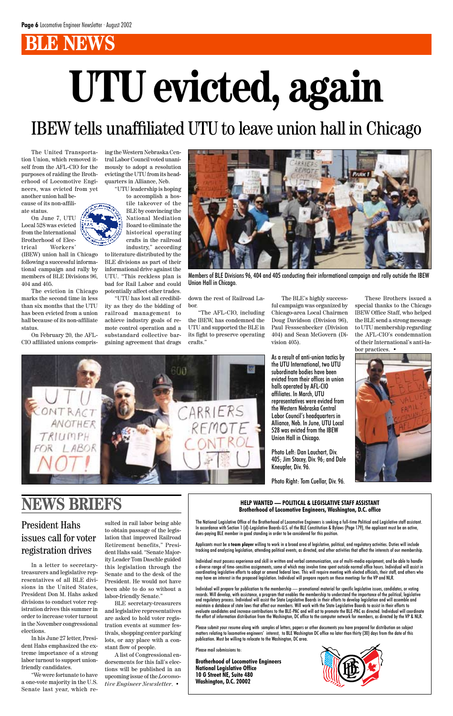# **UTU evicted, again**

## IBEW tells unaffiliated UTU to leave union hall in Chicago

The United Transportation Union, which removed itself from the AFL-CIO for the purposes of raiding the Brotherhood of Locomotive Engineers, was evicted from yet

another union hall because of its non-affiliate status.

On June 7, UTU Local 528 was evicted from the International Brotherhood of Electrical Workers'

(IBEW) union hall in Chicago following a successful informational campaign and rally by members of BLE Divisions 96, 404 and 405.

The eviction in Chicago marks the second time in less than six months that the UTU has been evicted from a union hall because of its non-affiliate status.

On February 20, the AFL-CIO affiliated unions comprising the Western Nebraska Central Labor Council voted unanimously to adopt a resolution evicting the UTU from its headquarters in Alliance, Neb.

> These Brothers issued a special thanks to the Chicago IBEW Office Staff, who helped the BLE send a strong message to UTU membership regarding the AFL-CIO's condemnation of their International's anti-labor practices.  $\bullet$



"UTU leadership is hoping to accomplish a hostile takeover of the BLE by convincing the National Mediation Board to eliminate the

historical operating crafts in the railroad industry," according to literature distributed by the BLE divisions as part of their informational drive against the UTU. "This reckless plan is bad for Rail Labor and could potentially affect other trades.

"UTU has lost all credibility as they do the bidding of railroad management to achieve industry goals of remote control operation and a substandard collective bargaining agreement that drags

down the rest of Railroad Labor.

"The AFL-CIO, including the IBEW, has condemned the UTU and supported the BLE in its fight to preserve operating crafts."

The BLE's highly successful campaign was organized by Chicago-area Local Chairmen Doug Davidson (Division 96), Paul Fesssenbecker (Division 404) and Sean McGovern (Division 405).



Members of BLE Divisions 96, 404 and 405 conducting their informational campaign and rally outside the IBEW Union Hall in Chicago.

As a result of anti-union tactics by the UTU International, two UTU subordinate bodies have been evicted from their offices in union halls operated by AFL-CIO affiliates. In March, UTU representatives were evicted from the Western Nebraska Central Labor Council's headquarters in Alliance, Neb. In June, UTU Local 528 was evicted from the IBEW Union Hall in Chicago.

Photo Left: Dan Lauchart, Div. 405; Jim Stacey, Div. 96; and Dale Kneupfer, Div. 96.

Photo Right: Tom Cuellar, Div. 96.

## **NEWS BRIEFS HELP WANTED — POLITICAL & LEGISLATIVE STAFF ASSISTANT**

**Brotherhood of Locomotive Engineers, Washington, D.C. office** The National Legislative Office of the Brotherhood of Locomotive Engineers is seeking a full-time Political and Legislative staff assistant.

In accordance with Section 1 (d)-Legislative Boards-U.S. of the BLE Constitution & Bylaws (Page 179), the applicant must be an active, dues-paying BLE member in good standing in order to be considered for this position.

Applicants must be a **team player** willing to work in a broad area of legislative, political, and regulatory activities. Duties will include tracking and analyzing legislation, attending political events, as directed, and other activities that affect the interests of our membership.

Individual must possess experience and skill in written and verbal communication, use of multi-media equipment, and be able to handle a diverse range of time-sensitive assignments, some of which may involve time spent outside normal office hours. Individual will assist in coordinating legislative efforts to adopt or amend federal laws. This will require meeting with elected officials, their staff, and others who may have an interest in the proposed legislation. Individual will prepare reports on these meetings for the VP and NLR.

Individual will prepare for publication to the membership — promotional material for specific legislative issues, candidates, or voting records. Will develop, with assistance, a program that enables the membership to understand the importance of the political, legislative and regulatory process. Individual will assist the State Legislative Boards in their efforts to develop legislation and will assemble and maintain a database of state laws that affect our members. Will work with the State Legislative Boards to assist in their efforts to evaluate candidates and increase contributions to the BLE-PAC and will act to promote the BLE-PAC as directed. Individual will coordinate the effort of information distribution from the Washington, DC office to the computer network for members, as directed by the VP & NLR.

Please submit your resume along with samples of letters, papers or other documents you have prepared for distribution on subject matters relating to locomotive engineers' interest, to BLE Washington DC office no later than thirty (30) days from the date of this publication. Must be willing to relocate to the Washington, DC area.

Please mail submissions to:

**Brotherhood of Locomotive Engineers National Legislative Office 10 G Street NE, Suite 480 Washington, D.C. 20002**



President Hahs

#### issues call for voter registration drives

In a letter to secretarytreasurers and legislative representatives of all BLE divisions in the United States, President Don M. Hahs asked divisions to conduct voter registration drives this summer in order to increase voter turnout in the November congressional elections.

In his June 27 letter, President Hahs emphasized the extreme importance of a strong labor turnout to support unionfriendly candidates.

"We were fortunate to have a one-vote majority in the U.S. Senate last year, which re-

sulted in rail labor being able

to obtain passage of the legislation that improved Railroad Retirement benefits," President Hahs said. "Senate Majority Leader Tom Daschle guided this legislation through the Senate and to the desk of the President. He would not have been able to do so without a labor-friendly Senate."

BLE secretary-treasurers and legislative representatives are asked to hold voter registration events at summer festivals, shopping center parking lots, or any place with a constant flow of people.

A list of Congressional endorsements for this fall's elections will be published in an upcoming issue of the *Locomotive Engineer Newsletter*. •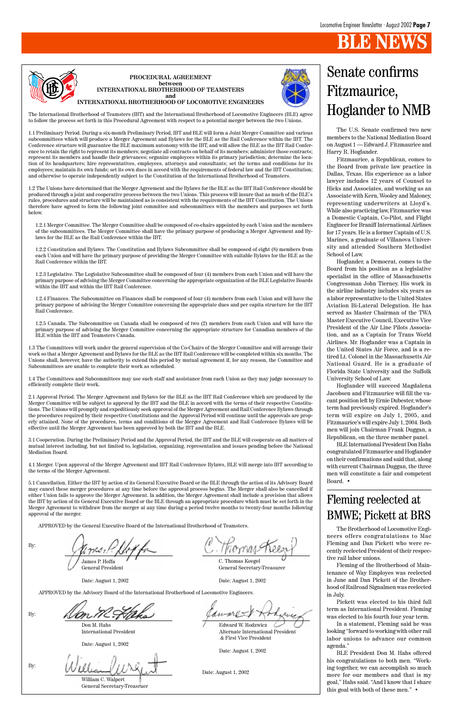

#### **PROCEDURAL AGREEMENT between INTERNATIONAL BROTHERHOOD OF TEAMSTERS and INTERNATIONAL BROTHERHOOD OF LOCOMOTIVE ENGINEERS**



The International Brotherhood of Teamsters (IBT) and the International Brotherhood of Locomotive Engineers (BLE) agree to follow the process set forth in this Procedural Agreement with respect to a potential merger between the two Unions.

1.1 Preliminary Period. During a six-month Preliminary Period, IBT and BLE will form a Joint Merger Committee and various subcommittees which will produce a Merger Agreement and Bylaws for the BLE as the Rail Conference within the IBT. The Conference structure will guarantee the BLE maximum autonomy with the IBT, and will allow the BLE as the IBT Rail Conference to retain the right to represent its members; negotiate all contracts on behalf of its members; administer those contracts; represent its members and handle their grievances; organize employees within its primary jurisdiction; determine the location of its headquarters; hire representatives, employees, attorneys and consultants; set the terms and conditions for its employees; maintain its own funds; set its own dues in accord with the requirements of federal law and the IBT Constitution; and otherwise to operate independently subject to the Constitution of the International Brotherhood of Teamsters.

1.2 The Unions have determined that the Merger Agreement and the Bylaws for the BLE as the IBT Rail Conference should be produced through a joint and cooperative process between the two Unions. This process will insure that as much of the BLE's rules, procedures and structure will be maintained as is consistent with the requirements of the IBT Constitution. The Unions therefore have agreed to form the following joint committee and subcommittees with the members and purposes set forth below.

1.2.1 Merger Committee. The Merger Committee shall be composed of co-chairs appointed by each Union and the members of the subcommittees. The Merger Committee shall have the primary purpose of producing a Merger Agreement and Bylaws for the BLE as the Rail Conference within the IBT.

1.2.2 Constitution and Bylaws. The Constitution and Bylaws Subcommittee shall be composed of eight (8) members from each Union and will have the primary purpose of providing the Merger Committee with suitable Bylaws for the BLE as the Rail Conference within the IBT.

1.2.3 Legislative. The Legislative Subcommittee shall be composed of four (4) members from each Union and will have the primary purpose of advising the Merger Committee concerning the appropriate organization of the BLE Legislative Boards within the IBT and within the IBT Rail Conference.

1.2.4 Finances. The Subcommittee on Finances shall be composed of four (4) members from each Union and will have the primary purpose of advising the Merger Committee concerning the appropriate dues and per capita structure for the IBT Rail Conference.

1.2.5 Canada. The Subcommittee on Canada shall be composed of two (2) members from each Union and will have the primary purpose of advising the Merger Committee concerning the appropriate structure for Canadian members of the BLE within the IBT and Teamsters Canada.

1.3 The Committees will work under the general supervision of the Co-Chairs of the Merger Committee and will arrange their work so that a Merger Agreement and Bylaws for the BLE as the IBT Rail Conference will be completed within six months. The Unions shall, however, have the authority to extend this period by mutual agreement if, for any reason, the Committee and Subcommittees are unable to complete their work as scheduled.

1.4 The Committees and Subcommittees may use such staff and assistance from each Union as they may judge necessary to efficiently complete their work.

2.1 Approval Period. The Merger Agreement and Bylaws for the BLE as the IBT Rail Conference which are produced by the Merger Committee will be subject to approval by the IBT and the BLE in accord with the terms of their respective Constitutions. The Unions will promptly and expeditiously seek approval of the Merger Agreement and Rail Conference Bylaws through the procedures required by their respective Constitutions and the Approval Period will continue until the approvals are properly attained. None of the procedures, terms and conditions of the Merger Agreement and Rail Conference Bylaws will be effective until the Merger Agreement has been approved by both the IBT and the BLE.

3.1 Cooperation. During the Preliminary Period and the Approval Period, the IBT and the BLE will cooperate on all matters of mutual interest including, but not limited to, legislation, organizing, representation and issues pending before the National Mediation Board.

4.1 Merger. Upon approval of the Merger Agreement and IBT Rail Conference Bylaws, BLE will merge into IBT according to the terms of the Merger Agreement.

5.1 Cancellation. Either the IBT by action of its General Executive Board or the BLE through the action of its Advisory Board may cancel these merger procedures at any time before the approval process begins. The Merger shall also be cancelled if either Union fails to approve the Merger Agreement. In addition, the Merger Agreement shall include a provision that allows the IBT by action of its General Executive Board or the BLE through an appropriate procedure which must be set forth in the Merger Agreement to withdraw from the merger at any time during a period twelve months to twenty-four months following approval of the merger.

PPROVED by the General Executive Board of the International Brotherhood of Teamster

By:

James P. Hoffa General President

Date: August 1, 2002

C. Thomas Keegel General Secretary-Treasurer

Date: August 1, 2002

By:

APPROVED by the Advisory Board of the International Brotherhood of Locomotive Engineers.

Don M. Hahs International President

Date: August 1, 2002

Edward W. Rodzwicz Alternate International President & First Vice President

Date: August 1, 2002

By:

William C. Walpert General Secretary-Treasruer

Date: August 1, 2002

The U.S. Senate confirmed two new members to the National Mediation Board on August 1 — Edward J. Fitzmaurice and Harry R. Hoglander.

Fitzmaurice, a Republican, comes to the Board from private law practice in Dallas, Texas. His experience as a labor lawyer includes 12 years of Counsel to Hicks and Associates, and working as an Associate with Kern, Wooley and Maloney, representing underwriters at Lloyd's. While also practicing law, Fitzmaurice was a Domestic Captain, Co-Pilot, and Flight Engineer for Braniff International Airlines for 17 years. He is a former Captain of U.S. Marines, a graduate of Villanova University and attended Southern Methodist School of Law.

Hoglander, a Democrat, comes to the Board from his position as a legislative specialist in the office of Massachusetts Congressman John Tierney. His work in the airline industry includes six years as a labor representative to the United States Aviation Bi-Lateral Delegation. He has served as Master Chairman of the TWA Master Executive Council, Executive Vice President of the Air Line Pilots Association, and as a Captain for Trans World Airlines. Mr. Hoglander was a Captain in the United States Air Force, and is a retired Lt. Colonel in the Massachusetts Air National Guard. He is a graduate of Florida State University and the Suffolk University School of Law.

Hoglander will succeed Magdalena Jacobsen and Fitzmaurice will fill the vacant position left by Ernie Dubester, whose term had previously expired. Hoglander's term will expire on July 1, 2005, and Fitzmaurice's will expire July 1, 2004. Both men will join Chairman Frank Duggan, a Republican, on the three member panel.

BLE International President Don Hahs congratulated Fitzmaurice and Hoglander on their confirmations and said that, along with current Chairman Duggan, the three men will constitute a fair and competent Board. •

#### Senate confirms Fitzmaurice, Hoglander to NMB

#### Fleming reelected at BMWE; Pickett at BRS

The Brotherhood of Locomotive Engineers offers congratulations to Mac Fleming and Dan Pickett who were recently reelected President of their respective rail labor unions.

Fleming of the Brotherhood of Maintenance of Way Employes was reelected in June and Dan Pickett of the Brotherhood of Railroad Signalmen was reelected in July.

Pickett was elected to his third full term as International President. Fleming was elected to his fourth four year term.

In a statement, Fleming said he was looking "forward to working with other rail labor unions to advance our common agenda."

BLE President Don M. Hahs offered his congratulations to both men. "Working together, we can accomplish so much more for our members and that is my goal," Hahs said. "And I know that I share this goal with both of these men." •